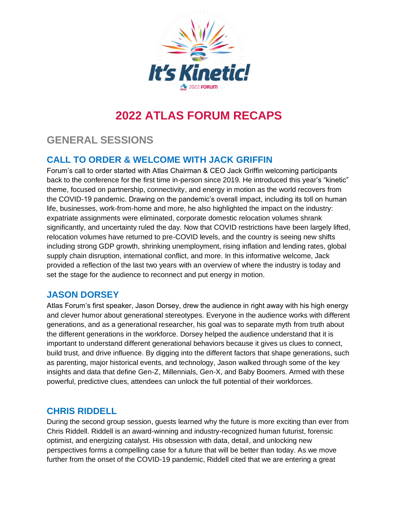

# **2022 ATLAS FORUM RECAPS**

# **GENERAL SESSIONS**

# **CALL TO ORDER & WELCOME WITH JACK GRIFFIN**

Forum's call to order started with Atlas Chairman & CEO Jack Griffin welcoming participants back to the conference for the first time in-person since 2019. He introduced this year's "kinetic" theme, focused on partnership, connectivity, and energy in motion as the world recovers from the COVID-19 pandemic. Drawing on the pandemic's overall impact, including its toll on human life, businesses, work-from-home and more, he also highlighted the impact on the industry: expatriate assignments were eliminated, corporate domestic relocation volumes shrank significantly, and uncertainty ruled the day. Now that COVID restrictions have been largely lifted, relocation volumes have returned to pre-COVID levels, and the country is seeing new shifts including strong GDP growth, shrinking unemployment, rising inflation and lending rates, global supply chain disruption, international conflict, and more. In this informative welcome, Jack provided a reflection of the last two years with an overview of where the industry is today and set the stage for the audience to reconnect and put energy in motion.

## **JASON DORSEY**

Atlas Forum's first speaker, Jason Dorsey, drew the audience in right away with his high energy and clever humor about generational stereotypes. Everyone in the audience works with different generations, and as a generational researcher, his goal was to separate myth from truth about the different generations in the workforce. Dorsey helped the audience understand that it is important to understand different generational behaviors because it gives us clues to connect, build trust, and drive influence. By digging into the different factors that shape generations, such as parenting, major historical events, and technology, Jason walked through some of the key insights and data that define Gen-Z, Millennials, Gen-X, and Baby Boomers. Armed with these powerful, predictive clues, attendees can unlock the full potential of their workforces.

## **CHRIS RIDDELL**

During the second group session, guests learned why the future is more exciting than ever from Chris Riddell. Riddell is an award-winning and industry-recognized human futurist, forensic optimist, and energizing catalyst. His obsession with data, detail, and unlocking new perspectives forms a compelling case for a future that will be better than today. As we move further from the onset of the COVID-19 pandemic, Riddell cited that we are entering a great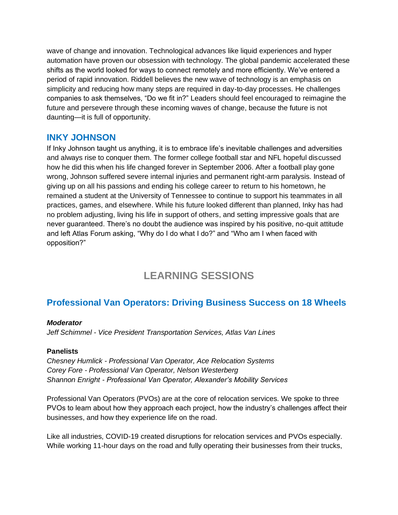wave of change and innovation. Technological advances like liquid experiences and hyper automation have proven our obsession with technology. The global pandemic accelerated these shifts as the world looked for ways to connect remotely and more efficiently. We've entered a period of rapid innovation. Riddell believes the new wave of technology is an emphasis on simplicity and reducing how many steps are required in day-to-day processes. He challenges companies to ask themselves, "Do we fit in?" Leaders should feel encouraged to reimagine the future and persevere through these incoming waves of change, because the future is not daunting—it is full of opportunity.

### **INKY JOHNSON**

If Inky Johnson taught us anything, it is to embrace life's inevitable challenges and adversities and always rise to conquer them. The former college football star and NFL hopeful discussed how he did this when his life changed forever in September 2006. After a football play gone wrong, Johnson suffered severe internal injuries and permanent right-arm paralysis. Instead of giving up on all his passions and ending his college career to return to his hometown, he remained a student at the University of Tennessee to continue to support his teammates in all practices, games, and elsewhere. While his future looked different than planned, Inky has had no problem adjusting, living his life in support of others, and setting impressive goals that are never guaranteed. There's no doubt the audience was inspired by his positive, no-quit attitude and left Atlas Forum asking, "Why do I do what I do?" and "Who am I when faced with opposition?"

# **LEARNING SESSIONS**

# **Professional Van Operators: Driving Business Success on 18 Wheels**

#### *Moderator*

*Jeff Schimmel - Vice President Transportation Services, Atlas Van Lines*

#### **Panelists**

*Chesney Humlick - Professional Van Operator, Ace Relocation Systems Corey Fore - Professional Van Operator, Nelson Westerberg Shannon Enright - Professional Van Operator, Alexander's Mobility Services*

Professional Van Operators (PVOs) are at the core of relocation services. We spoke to three PVOs to learn about how they approach each project, how the industry's challenges affect their businesses, and how they experience life on the road.

Like all industries, COVID-19 created disruptions for relocation services and PVOs especially. While working 11-hour days on the road and fully operating their businesses from their trucks,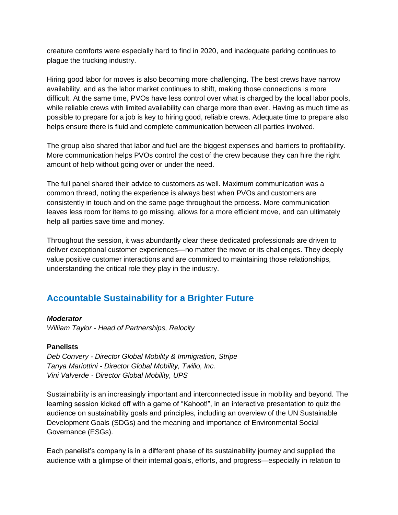creature comforts were especially hard to find in 2020, and inadequate parking continues to plague the trucking industry.

Hiring good labor for moves is also becoming more challenging. The best crews have narrow availability, and as the labor market continues to shift, making those connections is more difficult. At the same time, PVOs have less control over what is charged by the local labor pools, while reliable crews with limited availability can charge more than ever. Having as much time as possible to prepare for a job is key to hiring good, reliable crews. Adequate time to prepare also helps ensure there is fluid and complete communication between all parties involved.

The group also shared that labor and fuel are the biggest expenses and barriers to profitability. More communication helps PVOs control the cost of the crew because they can hire the right amount of help without going over or under the need.

The full panel shared their advice to customers as well. Maximum communication was a common thread, noting the experience is always best when PVOs and customers are consistently in touch and on the same page throughout the process. More communication leaves less room for items to go missing, allows for a more efficient move, and can ultimately help all parties save time and money.

Throughout the session, it was abundantly clear these dedicated professionals are driven to deliver exceptional customer experiences—no matter the move or its challenges. They deeply value positive customer interactions and are committed to maintaining those relationships, understanding the critical role they play in the industry.

## **Accountable Sustainability for a Brighter Future**

#### *Moderator*

*William Taylor - Head of Partnerships, Relocity* 

#### **Panelists**

*Deb Convery - Director Global Mobility & Immigration, Stripe Tanya Mariottini - Director Global Mobility, Twilio, Inc. Vini Valverde - Director Global Mobility, UPS*

Sustainability is an increasingly important and interconnected issue in mobility and beyond. The learning session kicked off with a game of "Kahoot!", in an interactive presentation to quiz the audience on sustainability goals and principles, including an overview of the UN Sustainable Development Goals (SDGs) and the meaning and importance of Environmental Social Governance (ESGs).

Each panelist's company is in a different phase of its sustainability journey and supplied the audience with a glimpse of their internal goals, efforts, and progress—especially in relation to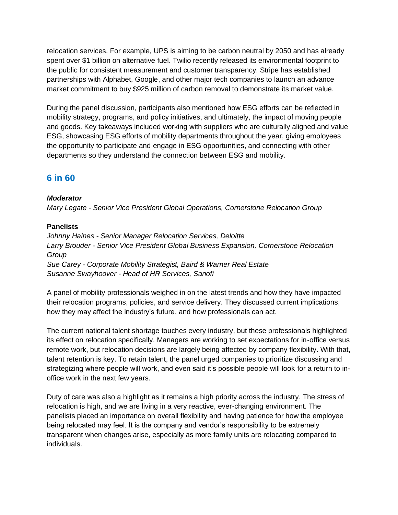relocation services. For example, UPS is aiming to be carbon neutral by 2050 and has already spent over \$1 billion on alternative fuel. Twilio recently released its environmental footprint to the public for consistent measurement and customer transparency. Stripe has established partnerships with Alphabet, Google, and other major tech companies to launch an advance market commitment to buy \$925 million of carbon removal to demonstrate its market value.

During the panel discussion, participants also mentioned how ESG efforts can be reflected in mobility strategy, programs, and policy initiatives, and ultimately, the impact of moving people and goods. Key takeaways included working with suppliers who are culturally aligned and value ESG, showcasing ESG efforts of mobility departments throughout the year, giving employees the opportunity to participate and engage in ESG opportunities, and connecting with other departments so they understand the connection between ESG and mobility.

### **6 in 60**

#### *Moderator*

*Mary Legate - Senior Vice President Global Operations, Cornerstone Relocation Group* 

#### **Panelists**

*Johnny Haines - Senior Manager Relocation Services, Deloitte Larry Brouder - Senior Vice President Global Business Expansion, Cornerstone Relocation Group Sue Carey - Corporate Mobility Strategist, Baird & Warner Real Estate Susanne Swayhoover - Head of HR Services, Sanofi*

A panel of mobility professionals weighed in on the latest trends and how they have impacted their relocation programs, policies, and service delivery. They discussed current implications, how they may affect the industry's future, and how professionals can act.

The current national talent shortage touches every industry, but these professionals highlighted its effect on relocation specifically. Managers are working to set expectations for in-office versus remote work, but relocation decisions are largely being affected by company flexibility. With that, talent retention is key. To retain talent, the panel urged companies to prioritize discussing and strategizing where people will work, and even said it's possible people will look for a return to inoffice work in the next few years.

Duty of care was also a highlight as it remains a high priority across the industry. The stress of relocation is high, and we are living in a very reactive, ever-changing environment. The panelists placed an importance on overall flexibility and having patience for how the employee being relocated may feel. It is the company and vendor's responsibility to be extremely transparent when changes arise, especially as more family units are relocating compared to individuals.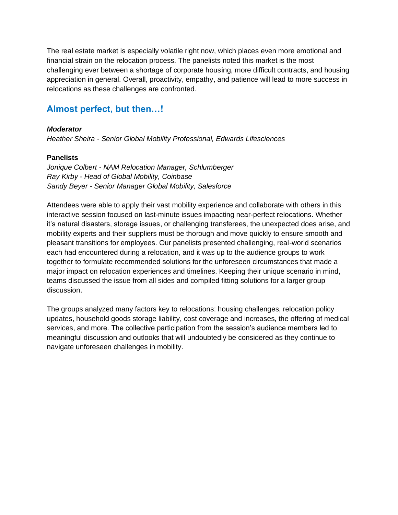The real estate market is especially volatile right now, which places even more emotional and financial strain on the relocation process. The panelists noted this market is the most challenging ever between a shortage of corporate housing, more difficult contracts, and housing appreciation in general. Overall, proactivity, empathy, and patience will lead to more success in relocations as these challenges are confronted.

### **Almost perfect, but then…!**

#### *Moderator*

*Heather Sheira - Senior Global Mobility Professional, Edwards Lifesciences*

#### **Panelists**

*Jonique Colbert - NAM Relocation Manager, Schlumberger Ray Kirby - Head of Global Mobility, Coinbase Sandy Beyer - Senior Manager Global Mobility, Salesforce* 

Attendees were able to apply their vast mobility experience and collaborate with others in this interactive session focused on last-minute issues impacting near-perfect relocations. Whether it's natural disasters, storage issues, or challenging transferees, the unexpected does arise, and mobility experts and their suppliers must be thorough and move quickly to ensure smooth and pleasant transitions for employees. Our panelists presented challenging, real-world scenarios each had encountered during a relocation, and it was up to the audience groups to work together to formulate recommended solutions for the unforeseen circumstances that made a major impact on relocation experiences and timelines. Keeping their unique scenario in mind, teams discussed the issue from all sides and compiled fitting solutions for a larger group discussion.

The groups analyzed many factors key to relocations: housing challenges, relocation policy updates, household goods storage liability, cost coverage and increases, the offering of medical services, and more. The collective participation from the session's audience members led to meaningful discussion and outlooks that will undoubtedly be considered as they continue to navigate unforeseen challenges in mobility.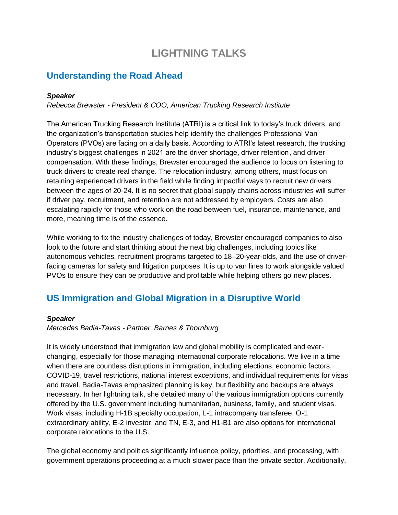# **LIGHTNING TALKS**

## **Understanding the Road Ahead**

#### *Speaker*

*Rebecca Brewster - President & COO, American Trucking Research Institute* 

The American Trucking Research Institute (ATRI) is a critical link to today's truck drivers, and the organization's transportation studies help identify the challenges Professional Van Operators (PVOs) are facing on a daily basis. According to ATRI's latest research, the trucking industry's biggest challenges in 2021 are the driver shortage, driver retention, and driver compensation. With these findings, Brewster encouraged the audience to focus on listening to truck drivers to create real change. The relocation industry, among others, must focus on retaining experienced drivers in the field while finding impactful ways to recruit new drivers between the ages of 20-24. It is no secret that global supply chains across industries will suffer if driver pay, recruitment, and retention are not addressed by employers. Costs are also escalating rapidly for those who work on the road between fuel, insurance, maintenance, and more, meaning time is of the essence.

While working to fix the industry challenges of today, Brewster encouraged companies to also look to the future and start thinking about the next big challenges, including topics like autonomous vehicles, recruitment programs targeted to 18–20-year-olds, and the use of driverfacing cameras for safety and litigation purposes. It is up to van lines to work alongside valued PVOs to ensure they can be productive and profitable while helping others go new places.

# **US Immigration and Global Migration in a Disruptive World**

#### *Speaker*

*Mercedes Badia-Tavas - Partner, Barnes & Thornburg* 

It is widely understood that immigration law and global mobility is complicated and everchanging, especially for those managing international corporate relocations. We live in a time when there are countless disruptions in immigration, including elections, economic factors, COVID-19, travel restrictions, national interest exceptions, and individual requirements for visas and travel. Badia-Tavas emphasized planning is key, but flexibility and backups are always necessary. In her lightning talk, she detailed many of the various immigration options currently offered by the U.S. government including humanitarian, business, family, and student visas. Work visas, including H-1B specialty occupation, L-1 intracompany transferee, O-1 extraordinary ability, E-2 investor, and TN, E-3, and H1-B1 are also options for international corporate relocations to the U.S.

The global economy and politics significantly influence policy, priorities, and processing, with government operations proceeding at a much slower pace than the private sector. Additionally,